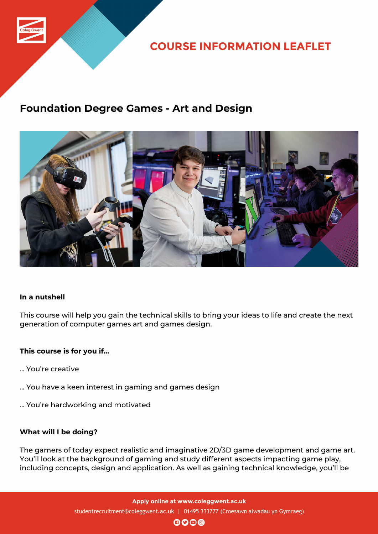

**COURSE INFORMATION LEAFLET** 

## **Foundation Degree Games - Art and Design**



## **In a nutshell**

This course will help you gain the technical skills to bring your ideas to life and create the next generation of computer games art and games design.

## **This course is for you if...**

- ... You're creative
- ... You have a keen interest in gaming and games design
- ... You're hardworking and motivated

### **What will I be doing?**

The gamers of today expect realistic and imaginative 2D/3D game development and game art. You'll look at the background of gaming and study different aspects impacting game play, including concepts, design and application. As well as gaining technical knowledge, you'll be

> Apply online at www.coleggwent.ac.uk studentrecruitment@coleggwent.ac.uk | 01495 333777 (Croesawn alwadau yn Gymraeg)

 $\mathbf{0}$  $\mathbf{0}$  $\mathbf{0}$